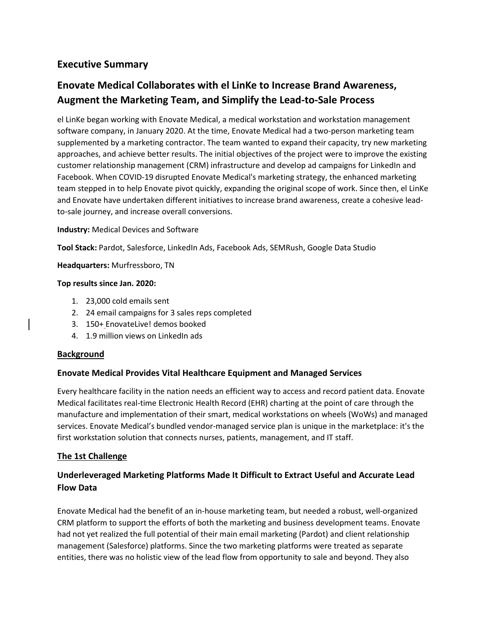# **Executive Summary**

# **Enovate Medical Collaborates with el LinKe to Increase Brand Awareness, Augment the Marketing Team, and Simplify the Lead-to-Sale Process**

el LinKe began working with Enovate Medical, a medical workstation and workstation management software company, in January 2020. At the time, Enovate Medical had a two-person marketing team supplemented by a marketing contractor. The team wanted to expand their capacity, try new marketing approaches, and achieve better results. The initial objectives of the project were to improve the existing customer relationship management (CRM) infrastructure and develop ad campaigns for LinkedIn and Facebook. When COVID-19 disrupted Enovate Medical's marketing strategy, the enhanced marketing team stepped in to help Enovate pivot quickly, expanding the original scope of work. Since then, el LinKe and Enovate have undertaken different initiatives to increase brand awareness, create a cohesive leadto-sale journey, and increase overall conversions.

### **Industry:** Medical Devices and Software

**Tool Stack:** Pardot, Salesforce, LinkedIn Ads, Facebook Ads, SEMRush, Google Data Studio

**Headquarters:** Murfressboro, TN

### **Top results since Jan. 2020:**

- 1. 23,000 cold emails sent
- 2. 24 email campaigns for 3 sales reps completed
- 3. 150+ EnovateLive! demos booked
- 4. 1.9 million views on LinkedIn ads

### **Background**

### **Enovate Medical Provides Vital Healthcare Equipment and Managed Services**

Every healthcare facility in the nation needs an efficient way to access and record patient data. Enovate Medical facilitates real-time Electronic Health Record (EHR) charting at the point of care through the manufacture and implementation of their smart, medical workstations on wheels (WoWs) and managed services. Enovate Medical's bundled vendor-managed service plan is unique in the marketplace: it's the first workstation solution that connects nurses, patients, management, and IT staff.

### **The 1st Challenge**

# **Underleveraged Marketing Platforms Made It Difficult to Extract Useful and Accurate Lead Flow Data**

Enovate Medical had the benefit of an in-house marketing team, but needed a robust, well-organized CRM platform to support the efforts of both the marketing and business development teams. Enovate had not yet realized the full potential of their main email marketing (Pardot) and client relationship management (Salesforce) platforms. Since the two marketing platforms were treated as separate entities, there was no holistic view of the lead flow from opportunity to sale and beyond. They also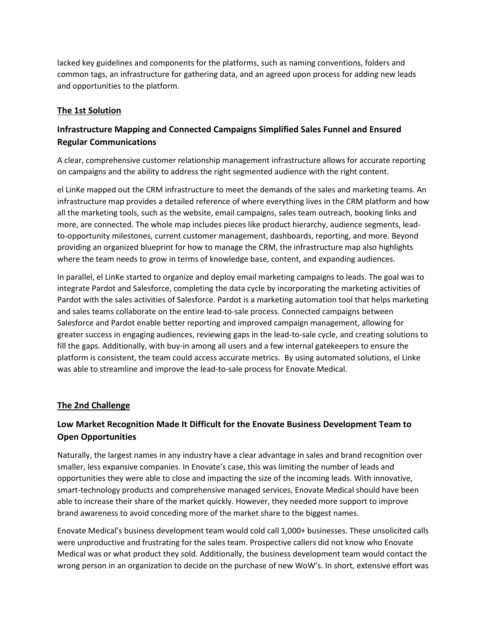lacked key guidelines and components for the platforms, such as naming conventions, folders and common tags, an infrastructure for gathering data, and an agreed upon process for adding new leads and opportunities to the platform.

### **The 1st Solution**

### **Infrastructure Mapping and Connected Campaigns Simplified Sales Funnel and Ensured Regular Communications**

A clear, comprehensive customer relationship management infrastructure allows for accurate reporting on campaigns and the ability to address the right segmented audience with the right content.

el LinKe mapped out the CRM infrastructure to meet the demands of the sales and marketing teams. An infrastructure map provides a detailed reference of where everything lives in the CRM platform and how all the marketing tools, such as the website, email campaigns, sales team outreach, booking links and more, are connected. The whole map includes pieces like product hierarchy, audience segments, leadto-opportunity milestones, current customer management, dashboards, reporting, and more. Beyond providing an organized blueprint for how to manage the CRM, the infrastructure map also highlights where the team needs to grow in terms of knowledge base, content, and expanding audiences.

In parallel, el LinKe started to organize and deploy email marketing campaigns to leads. The goal was to integrate Pardot and Salesforce, completing the data cycle by incorporating the marketing activities of Pardot with the sales activities of Salesforce. Pardot is a marketing automation tool that helps marketing and sales teams collaborate on the entire lead-to-sale process. Connected campaigns between Salesforce and Pardot enable better reporting and improved campaign management, allowing for greater success in engaging audiences, reviewing gaps in the lead-to-sale cycle, and creating solutions to fill the gaps. Additionally, with buy-in among all users and a few internal gatekeepers to ensure the platform is consistent, the team could access accurate metrics. By using automated solutions, el Linke was able to streamline and improve the lead-to-sale process for Enovate Medical.

### **The 2nd Challenge**

# **Low Market Recognition Made It Difficult for the Enovate Business Development Team to Open Opportunities**

Naturally, the largest names in any industry have a clear advantage in sales and brand recognition over smaller, less expansive companies. In Enovate's case, this was limiting the number of leads and opportunities they were able to close and impacting the size of the incoming leads. With innovative, smart-technology products and comprehensive managed services, Enovate Medical should have been able to increase their share of the market quickly. However, they needed more support to improve brand awareness to avoid conceding more of the market share to the biggest names.

Enovate Medical's business development team would cold call 1,000+ businesses. These unsolicited calls were unproductive and frustrating for the sales team. Prospective callers did not know who Enovate Medical was or what product they sold. Additionally, the business development team would contact the wrong person in an organization to decide on the purchase of new WoW's. In short, extensive effort was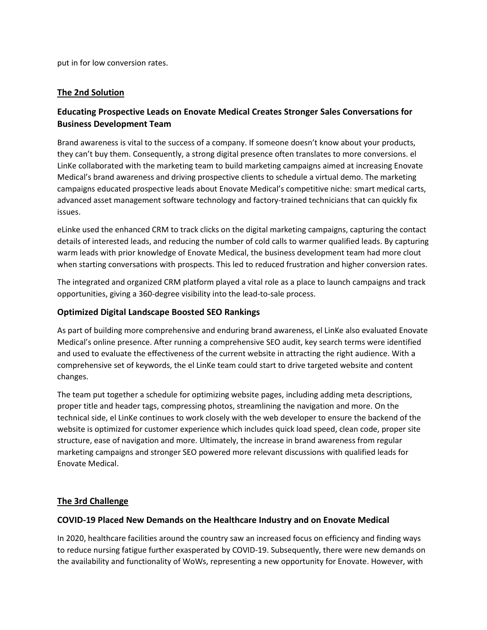put in for low conversion rates.

### **The 2nd Solution**

### **Educating Prospective Leads on Enovate Medical Creates Stronger Sales Conversations for Business Development Team**

Brand awareness is vital to the success of a company. If someone doesn't know about your products, they can't buy them. Consequently, a strong digital presence often translates to more conversions. el LinKe collaborated with the marketing team to build marketing campaigns aimed at increasing Enovate Medical's brand awareness and driving prospective clients to schedule a virtual demo. The marketing campaigns educated prospective leads about Enovate Medical's competitive niche: smart medical carts, advanced asset management software technology and factory-trained technicians that can quickly fix issues.

eLinke used the enhanced CRM to track clicks on the digital marketing campaigns, capturing the contact details of interested leads, and reducing the number of cold calls to warmer qualified leads. By capturing warm leads with prior knowledge of Enovate Medical, the business development team had more clout when starting conversations with prospects. This led to reduced frustration and higher conversion rates.

The integrated and organized CRM platform played a vital role as a place to launch campaigns and track opportunities, giving a 360-degree visibility into the lead-to-sale process.

### **Optimized Digital Landscape Boosted SEO Rankings**

As part of building more comprehensive and enduring brand awareness, el LinKe also evaluated Enovate Medical's online presence. After running a comprehensive SEO audit, key search terms were identified and used to evaluate the effectiveness of the current website in attracting the right audience. With a comprehensive set of keywords, the el LinKe team could start to drive targeted website and content changes.

The team put together a schedule for optimizing website pages, including adding meta descriptions, proper title and header tags, compressing photos, streamlining the navigation and more. On the technical side, el LinKe continues to work closely with the web developer to ensure the backend of the website is optimized for customer experience which includes quick load speed, clean code, proper site structure, ease of navigation and more. Ultimately, the increase in brand awareness from regular marketing campaigns and stronger SEO powered more relevant discussions with qualified leads for Enovate Medical.

#### **The 3rd Challenge**

#### **COVID-19 Placed New Demands on the Healthcare Industry and on Enovate Medical**

In 2020, healthcare facilities around the country saw an increased focus on efficiency and finding ways to reduce nursing fatigue further exasperated by COVID-19. Subsequently, there were new demands on the availability and functionality of WoWs, representing a new opportunity for Enovate. However, with